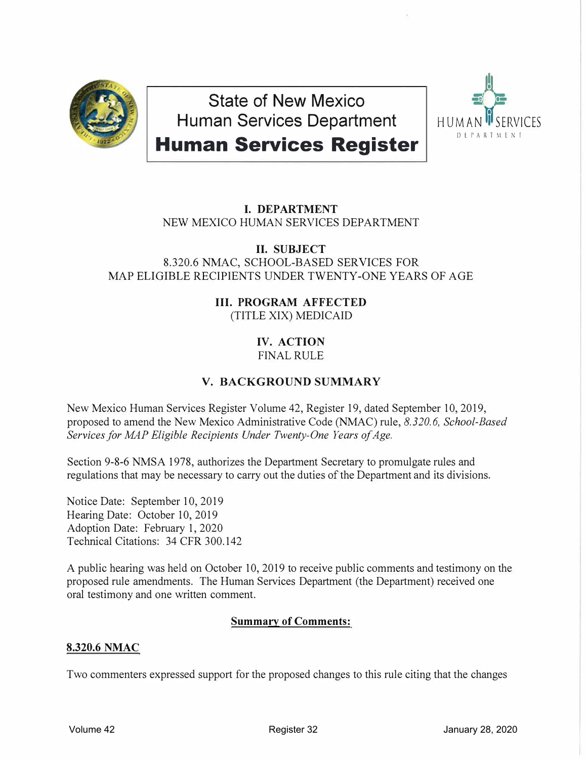

**State of New Mexico Human Services Department** 



# **Human Services Register**

## **I. DEPARTMENT** NEW MEXICO HUMAN SERVICES DEPARTMENT

# **II. SUBJECT**

8.320.6 NMAC, SCHOOL-BASED SERVICES FOR MAP ELIGIBLE RECIPIENTS UNDER TWENTY-ONE YEARS OF AGE

## **III. PROGRAM AFFECTED** (TITLE XIX) MEDICAID

# **IV. ACTION**

FINAL RULE

# **V. BACKGROUND SUMMARY**

New Mexico Human Services Register Volume 42, Register 19, dated September 10, 2019, proposed to amend the New Mexico Administrative Code (NMAC) rule, *8.320.6, School-Based Services for MAP Eligible Recipients Under Twenty-One Years of Age.* 

Section 9-8-6 NMSA 1978, authorizes the Department Secretary to promulgate rules and regulations that may be necessary to carry out the duties of the Department and its divisions.

Notice Date: September 10, 2019 Hearing Date: October 10, 2019 Adoption Date: February 1, 2020 Technical Citations: 34 CFR 300.142

A public hearing was held on October 10, 2019 to receive public comments and testimony on the proposed rule amendments. The Human Services Department (the Department) received one oral testimony and one written comment.

## **Summary of Comments:**

### **8.320.6 NMAC**

Two commenters expressed support for the proposed changes to this rule citing that the changes